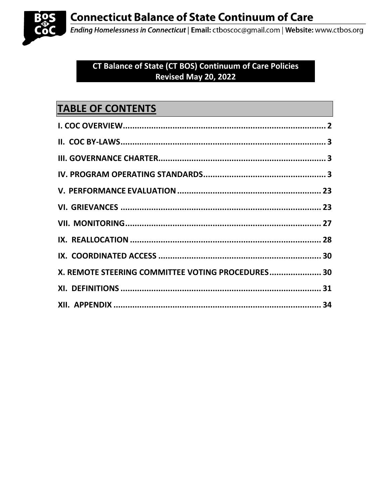

Ending Homelessness in Connecticut | Email: ctboscoc@gmail.com | Website: www.ctbos.org

# CT Balance of State (CT BOS) Continuum of Care Policies Revised May 20, 2022

# **TABLE OF CONTENTS**

| X. REMOTE STEERING COMMITTEE VOTING PROCEDURES 30 |  |
|---------------------------------------------------|--|
|                                                   |  |
|                                                   |  |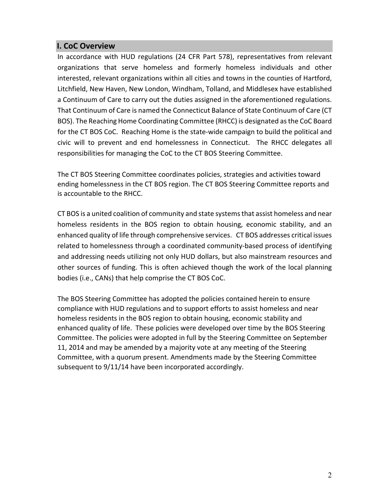# <span id="page-1-0"></span>**I. CoC Overview**

In accordance with HUD regulations (24 CFR Part 578), representatives from relevant organizations that serve homeless and formerly homeless individuals and other interested, relevant organizations within all cities and towns in the counties of Hartford, Litchfield, New Haven, New London, Windham, Tolland, and Middlesex have established a Continuum of Care to carry out the duties assigned in the aforementioned regulations. That Continuum of Care is named the Connecticut Balance of State Continuum of Care (CT BOS). The Reaching Home Coordinating Committee (RHCC) is designated as the CoC Board for the CT BOS CoC. Reaching Home is the state-wide campaign to build the political and civic will to prevent and end homelessness in Connecticut. The RHCC delegates all responsibilities for managing the CoC to the CT BOS Steering Committee.

The CT BOS Steering Committee coordinates policies, strategies and activities toward ending homelessness in the CT BOS region. The CT BOS Steering Committee reports and is accountable to the RHCC.

CT BOS is a united coalition of community and state systems that assist homeless and near homeless residents in the BOS region to obtain housing, economic stability, and an enhanced quality of life through comprehensive services. CT BOS addresses critical issues related to homelessness through a coordinated community-based process of identifying and addressing needs utilizing not only HUD dollars, but also mainstream resources and other sources of funding. This is often achieved though the work of the local planning bodies (i.e., CANs) that help comprise the CT BOS CoC.

The BOS Steering Committee has adopted the policies contained herein to ensure compliance with HUD regulations and to support efforts to assist homeless and near homeless residents in the BOS region to obtain housing, economic stability and enhanced quality of life. These policies were developed over time by the BOS Steering Committee. The policies were adopted in full by the Steering Committee on September 11, 2014 and may be amended by a majority vote at any meeting of the Steering Committee, with a quorum present. Amendments made by the Steering Committee subsequent to 9/11/14 have been incorporated accordingly.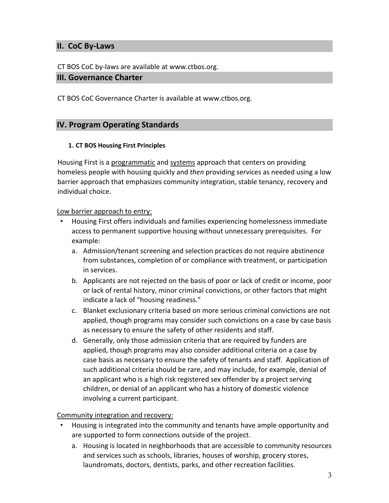# <span id="page-2-0"></span>**II. CoC By-Laws**

CT BOS CoC by-laws are available at www.ctbos.org.

#### <span id="page-2-1"></span>**III. Governance Charter**

CT BOS CoC Governance Charter is available at www.ctbos.org.

### <span id="page-2-2"></span>**IV. Program Operating Standards**

#### **1. CT BOS Housing First Principles**

Housing First is a programmatic and systems approach that centers on providing homeless people with housing quickly and *then* providing services as needed using a low barrier approach that emphasizes community integration, stable tenancy, recovery and individual choice.

#### Low barrier approach to entry:

- Housing First offers individuals and families experiencing homelessness immediate access to permanent supportive housing without unnecessary prerequisites. For example:
	- a. Admission/tenant screening and selection practices do not require abstinence from substances, completion of or compliance with treatment, or participation in services.
	- b. Applicants are not rejected on the basis of poor or lack of credit or income, poor or lack of rental history, minor criminal convictions, or other factors that might indicate a lack of "housing readiness."
	- c. Blanket exclusionary criteria based on more serious criminal convictions are not applied, though programs may consider such convictions on a case by case basis as necessary to ensure the safety of other residents and staff.
	- d. Generally, only those admission criteria that are required by funders are applied, though programs may also consider additional criteria on a case by case basis as necessary to ensure the safety of tenants and staff. Application of such additional criteria should be rare, and may include, for example, denial of an applicant who is a high risk registered sex offender by a project serving children, or denial of an applicant who has a history of domestic violence involving a current participant.

Community integration and recovery:

- Housing is integrated into the community and tenants have ample opportunity and are supported to form connections outside of the project.
	- a. Housing is located in neighborhoods that are accessible to community resources and services such as schools, libraries, houses of worship, grocery stores, laundromats, doctors, dentists, parks, and other recreation facilities.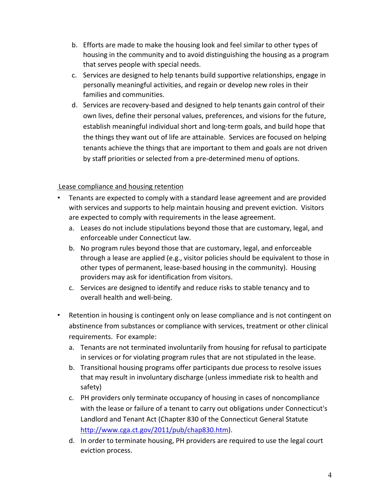- b. Efforts are made to make the housing look and feel similar to other types of housing in the community and to avoid distinguishing the housing as a program that serves people with special needs.
- c. Services are designed to help tenants build supportive relationships, engage in personally meaningful activities, and regain or develop new roles in their families and communities.
- d. Services are recovery-based and designed to help tenants gain control of their own lives, define their personal values, preferences, and visions for the future, establish meaningful individual short and long-term goals, and build hope that the things they want out of life are attainable. Services are focused on helping tenants achieve the things that are important to them and goals are not driven by staff priorities or selected from a pre-determined menu of options.

# Lease compliance and housing retention

- Tenants are expected to comply with a standard lease agreement and are provided with services and supports to help maintain housing and prevent eviction. Visitors are expected to comply with requirements in the lease agreement.
	- a. Leases do not include stipulations beyond those that are customary, legal, and enforceable under Connecticut law.
	- b. No program rules beyond those that are customary, legal, and enforceable through a lease are applied (e.g., visitor policies should be equivalent to those in other types of permanent, lease-based housing in the community). Housing providers may ask for identification from visitors.
	- c. Services are designed to identify and reduce risks to stable tenancy and to overall health and well-being.
- Retention in housing is contingent only on lease compliance and is not contingent on abstinence from substances or compliance with services, treatment or other clinical requirements. For example:
	- a. Tenants are not terminated involuntarily from housing for refusal to participate in services or for violating program rules that are not stipulated in the lease.
	- b. Transitional housing programs offer participants due process to resolve issues that may result in involuntary discharge (unless immediate risk to health and safety)
	- c. PH providers only terminate occupancy of housing in cases of noncompliance with the lease or failure of a tenant to carry out obligations under Connecticut's Landlord and Tenant Act (Chapter 830 of the Connecticut General Statute http://www.cga.ct.gov/2011/pub/chap830.htm).
	- d. In order to terminate housing, PH providers are required to use the legal court eviction process.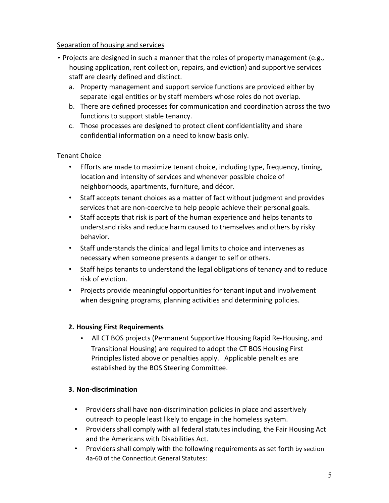### Separation of housing and services

- Projects are designed in such a manner that the roles of property management (e.g., housing application, rent collection, repairs, and eviction) and supportive services staff are clearly defined and distinct.
	- a. Property management and support service functions are provided either by separate legal entities or by staff members whose roles do not overlap.
	- b. There are defined processes for communication and coordination across the two functions to support stable tenancy.
	- c. Those processes are designed to protect client confidentiality and share confidential information on a need to know basis only.

# Tenant Choice

- Efforts are made to maximize tenant choice, including type, frequency, timing, location and intensity of services and whenever possible choice of neighborhoods, apartments, furniture, and décor.
- Staff accepts tenant choices as a matter of fact without judgment and provides services that are non-coercive to help people achieve their personal goals.
- Staff accepts that risk is part of the human experience and helps tenants to understand risks and reduce harm caused to themselves and others by risky behavior.
- Staff understands the clinical and legal limits to choice and intervenes as necessary when someone presents a danger to self or others.
- Staff helps tenants to understand the legal obligations of tenancy and to reduce risk of eviction.
- Projects provide meaningful opportunities for tenant input and involvement when designing programs, planning activities and determining policies.

# **2. Housing First Requirements**

• All CT BOS projects (Permanent Supportive Housing Rapid Re-Housing, and Transitional Housing) are required to adopt the CT BOS Housing First Principles listed above or penalties apply. Applicable penalties are established by the BOS Steering Committee.

# **3. Non-discrimination**

- Providers shall have non-discrimination policies in place and assertively outreach to people least likely to engage in the homeless system.
- Providers shall comply with all federal statutes including, the Fair Housing Act and the Americans with Disabilities Act.
- Providers shall comply with the following requirements as set forth by section 4a-60 of the Connecticut General Statutes: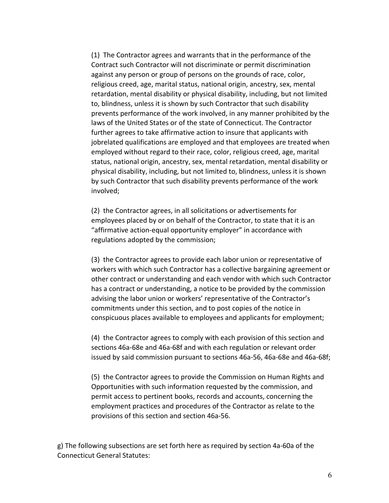(1) The Contractor agrees and warrants that in the performance of the Contract such Contractor will not discriminate or permit discrimination against any person or group of persons on the grounds of race, color, religious creed, age, marital status, national origin, ancestry, sex, mental retardation, mental disability or physical disability, including, but not limited to, blindness, unless it is shown by such Contractor that such disability prevents performance of the work involved, in any manner prohibited by the laws of the United States or of the state of Connecticut. The Contractor further agrees to take affirmative action to insure that applicants with jobrelated qualifications are employed and that employees are treated when employed without regard to their race, color, religious creed, age, marital status, national origin, ancestry, sex, mental retardation, mental disability or physical disability, including, but not limited to, blindness, unless it is shown by such Contractor that such disability prevents performance of the work involved;

(2) the Contractor agrees, in all solicitations or advertisements for employees placed by or on behalf of the Contractor, to state that it is an "affirmative action-equal opportunity employer" in accordance with regulations adopted by the commission;

(3) the Contractor agrees to provide each labor union or representative of workers with which such Contractor has a collective bargaining agreement or other contract or understanding and each vendor with which such Contractor has a contract or understanding, a notice to be provided by the commission advising the labor union or workers' representative of the Contractor's commitments under this section, and to post copies of the notice in conspicuous places available to employees and applicants for employment;

(4) the Contractor agrees to comply with each provision of this section and sections 46a-68e and 46a-68f and with each regulation or relevant order issued by said commission pursuant to sections 46a-56, 46a-68e and 46a-68f;

(5) the Contractor agrees to provide the Commission on Human Rights and Opportunities with such information requested by the commission, and permit access to pertinent books, records and accounts, concerning the employment practices and procedures of the Contractor as relate to the provisions of this section and section 46a-56.

g) The following subsections are set forth here as required by section 4a-60a of the Connecticut General Statutes: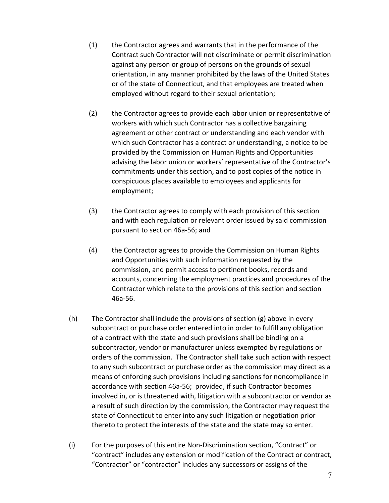- (1) the Contractor agrees and warrants that in the performance of the Contract such Contractor will not discriminate or permit discrimination against any person or group of persons on the grounds of sexual orientation, in any manner prohibited by the laws of the United States or of the state of Connecticut, and that employees are treated when employed without regard to their sexual orientation;
- (2) the Contractor agrees to provide each labor union or representative of workers with which such Contractor has a collective bargaining agreement or other contract or understanding and each vendor with which such Contractor has a contract or understanding, a notice to be provided by the Commission on Human Rights and Opportunities advising the labor union or workers' representative of the Contractor's commitments under this section, and to post copies of the notice in conspicuous places available to employees and applicants for employment;
- (3) the Contractor agrees to comply with each provision of this section and with each regulation or relevant order issued by said commission pursuant to section 46a-56; and
- (4) the Contractor agrees to provide the Commission on Human Rights and Opportunities with such information requested by the commission, and permit access to pertinent books, records and accounts, concerning the employment practices and procedures of the Contractor which relate to the provisions of this section and section 46a-56.
- (h) The Contractor shall include the provisions of section (g) above in every subcontract or purchase order entered into in order to fulfill any obligation of a contract with the state and such provisions shall be binding on a subcontractor, vendor or manufacturer unless exempted by regulations or orders of the commission. The Contractor shall take such action with respect to any such subcontract or purchase order as the commission may direct as a means of enforcing such provisions including sanctions for noncompliance in accordance with section 46a-56; provided, if such Contractor becomes involved in, or is threatened with, litigation with a subcontractor or vendor as a result of such direction by the commission, the Contractor may request the state of Connecticut to enter into any such litigation or negotiation prior thereto to protect the interests of the state and the state may so enter.
- (i) For the purposes of this entire Non-Discrimination section, "Contract" or "contract" includes any extension or modification of the Contract or contract, "Contractor" or "contractor" includes any successors or assigns of the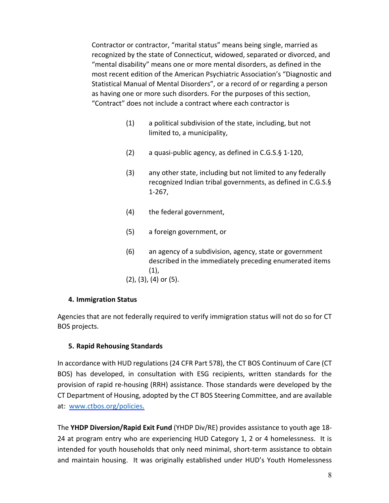Contractor or contractor, "marital status" means being single, married as recognized by the state of Connecticut, widowed, separated or divorced, and "mental disability" means one or more mental disorders, as defined in the most recent edition of the American Psychiatric Association's "Diagnostic and Statistical Manual of Mental Disorders", or a record of or regarding a person as having one or more such disorders. For the purposes of this section, "Contract" does not include a contract where each contractor is

- (1) a political subdivision of the state, including, but not limited to, a municipality,
- (2) a quasi-public agency, as defined in C.G.S.§ 1-120,
- (3) any other state, including but not limited to any federally recognized Indian tribal governments, as defined in C.G.S.§ 1-267,
- (4) the federal government,
- (5) a foreign government, or
- (6) an agency of a subdivision, agency, state or government described in the immediately preceding enumerated items (1),
- (2), (3), (4) or (5).

#### **4. Immigration Status**

Agencies that are not federally required to verify immigration status will not do so for CT BOS projects.

#### **5. Rapid Rehousing Standards**

In accordance with HUD regulations (24 CFR Part 578), the CT BOS Continuum of Care (CT BOS) has developed, in consultation with ESG recipients, written standards for the provision of rapid re-housing (RRH) assistance. Those standards were developed by the CT Department of Housing, adopted by the CT BOS Steering Committee, and are available at: [www.ctbos.org/policies.](http://www.ctbos.org/policies)

The **YHDP Diversion/Rapid Exit Fund** (YHDP Div/RE) provides assistance to youth age 18- 24 at program entry who are experiencing HUD Category 1, 2 or 4 homelessness. It is intended for youth households that only need minimal, short-term assistance to obtain and maintain housing. It was originally established under HUD's Youth Homelessness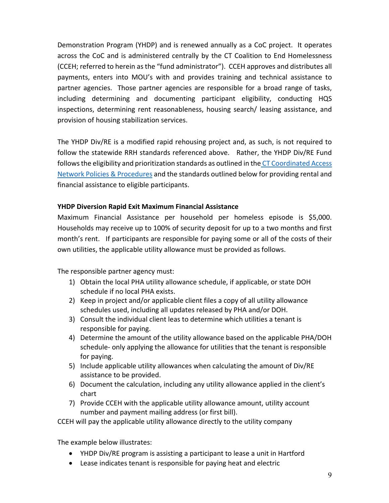Demonstration Program (YHDP) and is renewed annually as a CoC project. It operates across the CoC and is administered centrally by the CT Coalition to End Homelessness (CCEH; referred to herein as the "fund administrator"). CCEH approves and distributes all payments, enters into MOU's with and provides training and technical assistance to partner agencies. Those partner agencies are responsible for a broad range of tasks, including determining and documenting participant eligibility, conducting HQS inspections, determining rent reasonableness, housing search/ leasing assistance, and provision of housing stabilization services.

The YHDP Div/RE is a modified rapid rehousing project and, as such, is not required to follow the statewide RRH standards referenced above. Rather, the YHDP Div/RE Fund follows the eligibility and prioritization standards as outlined in the [CT Coordinated Access](https://www.ctbos.org/wp-content/uploads/2021/01/CT-Coord-Access-Network-Polices-Procedures-2021.01.11.pdf)  [Network Policies & Procedures](https://www.ctbos.org/wp-content/uploads/2021/01/CT-Coord-Access-Network-Polices-Procedures-2021.01.11.pdf) and the standards outlined below for providing rental and financial assistance to eligible participants.

#### **YHDP Diversion Rapid Exit Maximum Financial Assistance**

Maximum Financial Assistance per household per homeless episode is \$5,000. Households may receive up to 100% of security deposit for up to a two months and first month's rent. If participants are responsible for paying some or all of the costs of their own utilities, the applicable utility allowance must be provided as follows.

The responsible partner agency must:

- 1) Obtain the local PHA utility allowance schedule, if applicable, or state DOH schedule if no local PHA exists.
- 2) Keep in project and/or applicable client files a copy of all utility allowance schedules used, including all updates released by PHA and/or DOH.
- 3) Consult the individual client leas to determine which utilities a tenant is responsible for paying.
- 4) Determine the amount of the utility allowance based on the applicable PHA/DOH schedule- only applying the allowance for utilities that the tenant is responsible for paying.
- 5) Include applicable utility allowances when calculating the amount of Div/RE assistance to be provided.
- 6) Document the calculation, including any utility allowance applied in the client's chart
- 7) Provide CCEH with the applicable utility allowance amount, utility account number and payment mailing address (or first bill).

CCEH will pay the applicable utility allowance directly to the utility company

The example below illustrates:

- YHDP Div/RE program is assisting a participant to lease a unit in Hartford
- Lease indicates tenant is responsible for paying heat and electric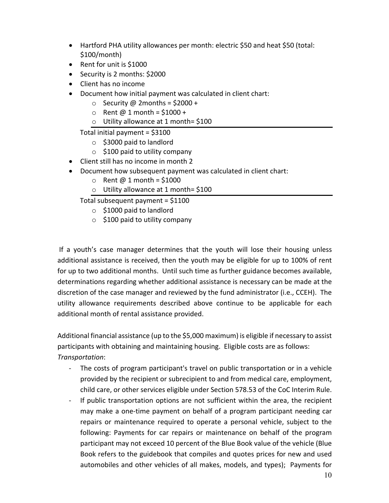- Hartford PHA utility allowances per month: electric \$50 and heat \$50 (total: \$100/month)
- Rent for unit is \$1000
- Security is 2 months: \$2000
- Client has no income
- Document how initial payment was calculated in client chart:
	- $\circ$  Security @ 2months = \$2000 +
	- $\circ$  Rent @ 1 month = \$1000 +
	- o Utility allowance at 1 month= \$100

Total initial payment = \$3100

- o \$3000 paid to landlord
- $\circ$  \$100 paid to utility company
- Client still has no income in month 2
- Document how subsequent payment was calculated in client chart:
	- $\circ$  Rent @ 1 month = \$1000
	- o Utility allowance at 1 month= \$100

Total subsequent payment = \$1100

- o \$1000 paid to landlord
- $\circ$  \$100 paid to utility company

 If a youth's case manager determines that the youth will lose their housing unless additional assistance is received, then the youth may be eligible for up to 100% of rent for up to two additional months. Until such time as further guidance becomes available, determinations regarding whether additional assistance is necessary can be made at the discretion of the case manager and reviewed by the fund administrator (i.e., CCEH). The utility allowance requirements described above continue to be applicable for each additional month of rental assistance provided.

Additional financial assistance (up to the \$5,000 maximum) is eligible if necessary to assist participants with obtaining and maintaining housing. Eligible costs are as follows: *Transportation*:

- The costs of program participant's travel on public transportation or in a vehicle provided by the recipient or subrecipient to and from medical care, employment, child care, or other services eligible under Section 578.53 of the CoC Interim Rule.
- If public transportation options are not sufficient within the area, the recipient may make a one-time payment on behalf of a program participant needing car repairs or maintenance required to operate a personal vehicle, subject to the following: Payments for car repairs or maintenance on behalf of the program participant may not exceed 10 percent of the Blue Book value of the vehicle (Blue Book refers to the guidebook that compiles and quotes prices for new and used automobiles and other vehicles of all makes, models, and types); Payments for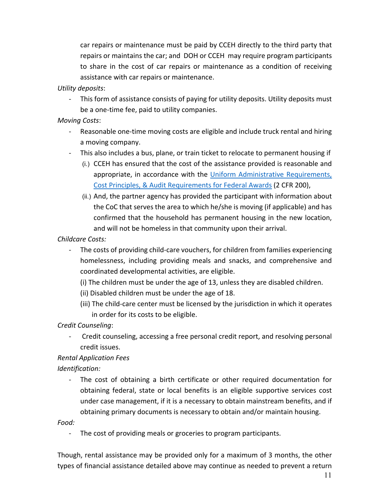car repairs or maintenance must be paid by CCEH directly to the third party that repairs or maintains the car; and DOH or CCEH may require program participants to share in the cost of car repairs or maintenance as a condition of receiving assistance with car repairs or maintenance.

#### *Utility deposits*:

- This form of assistance consists of paying for utility deposits. Utility deposits must be a one-time fee, paid to utility companies.

#### *Moving Costs*:

- Reasonable one-time moving costs are eligible and include truck rental and hiring a moving company.
- This also includes a bus, plane, or train ticket to relocate to permanent housing if
	- (i.) CCEH has ensured that the cost of the assistance provided is reasonable and appropriate, in accordance with the Uniform Administrative Requirements, [Cost Principles, & Audit Requirements for Federal Awards](https://www.govinfo.gov/app/details/CFR-2014-title2-vol1/CFR-2014-title2-vol1-part200) (2 CFR 200),
	- (ii.) And, the partner agency has provided the participant with information about the CoC that serves the area to which he/she is moving (if applicable) and has confirmed that the household has permanent housing in the new location, and will not be homeless in that community upon their arrival.

#### *Childcare Costs:*

- The costs of providing child-care vouchers, for children from families experiencing homelessness, including providing meals and snacks, and comprehensive and coordinated developmental activities, are eligible.
	- (i) The children must be under the age of 13, unless they are disabled children.
	- (ii) Disabled children must be under the age of 18.
	- (iii) The child-care center must be licensed by the jurisdiction in which it operates in order for its costs to be eligible.

#### *Credit Counseling*:

- Credit counseling, accessing a free personal credit report, and resolving personal credit issues.

#### *Rental Application Fees*

#### *Identification:*

- The cost of obtaining a birth certificate or other required documentation for obtaining federal, state or local benefits is an eligible supportive services cost under case management, if it is a necessary to obtain mainstream benefits, and if obtaining primary documents is necessary to obtain and/or maintain housing.

#### *Food:*

- The cost of providing meals or groceries to program participants.

Though, rental assistance may be provided only for a maximum of 3 months, the other types of financial assistance detailed above may continue as needed to prevent a return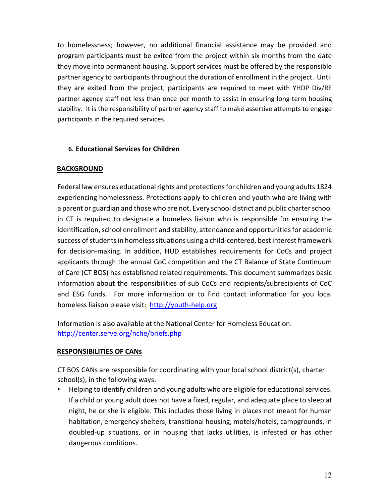to homelessness; however, no additional financial assistance may be provided and program participants must be exited from the project within six months from the date they move into permanent housing. Support services must be offered by the responsible partner agency to participants throughout the duration of enrollment in the project. Until they are exited from the project, participants are required to meet with YHDP Div/RE partner agency staff not less than once per month to assist in ensuring long-term housing stability. It is the responsibility of partner agency staff to make assertive attempts to engage participants in the required services.

#### **6. Educational Services for Children**

#### **BACKGROUND**

Federal law ensures educational rights and protections for children and young adults 1824 experiencing homelessness. Protections apply to children and youth who are living with a parent or guardian and those who are not. Every school district and public charter school in CT is required to designate a homeless liaison who is responsible for ensuring the identification, school enrollment and stability, attendance and opportunities for academic success of students in homeless situations using a child-centered, best interest framework for decision-making. In addition, HUD establishes requirements for CoCs and project applicants through the annual CoC competition and the CT Balance of State Continuum of Care (CT BOS) has established related requirements. This document summarizes basic information about the responsibilities of sub CoCs and recipients/subrecipients of CoC and ESG funds. For more information or to find contact information for you local homeless liaison please visit: http://youth-help.org

Information is also available at the National Center for Homeless Education: http://center.serve.org/nche/briefs.php

#### **RESPONSIBILITIES OF CANs**

CT BOS CANs are responsible for coordinating with your local school district(s), charter school(s), in the following ways:

• Helping to identify children and young adults who are eligible for educational services. If a child or young adult does not have a fixed, regular, and adequate place to sleep at night, he or she is eligible. This includes those living in places not meant for human habitation, emergency shelters, transitional housing, motels/hotels, campgrounds, in doubled-up situations, or in housing that lacks utilities, is infested or has other dangerous conditions.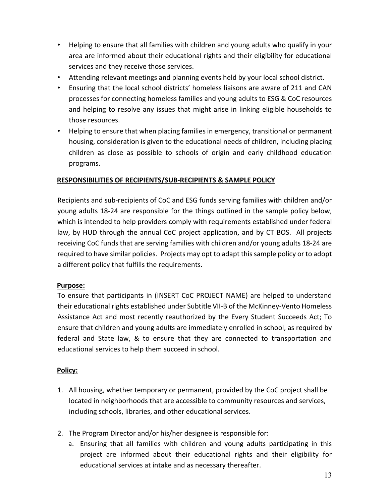- Helping to ensure that all families with children and young adults who qualify in your area are informed about their educational rights and their eligibility for educational services and they receive those services.
- Attending relevant meetings and planning events held by your local school district.
- Ensuring that the local school districts' homeless liaisons are aware of 211 and CAN processes for connecting homeless families and young adults to ESG & CoC resources and helping to resolve any issues that might arise in linking eligible households to those resources.
- Helping to ensure that when placing families in emergency, transitional or permanent housing, consideration is given to the educational needs of children, including placing children as close as possible to schools of origin and early childhood education programs.

# **RESPONSIBILITIES OF RECIPIENTS/SUB-RECIPIENTS & SAMPLE POLICY**

Recipients and sub-recipients of CoC and ESG funds serving families with children and/or young adults 18-24 are responsible for the things outlined in the sample policy below, which is intended to help providers comply with requirements established under federal law, by HUD through the annual CoC project application, and by CT BOS. All projects receiving CoC funds that are serving families with children and/or young adults 18-24 are required to have similar policies. Projects may opt to adapt this sample policy or to adopt a different policy that fulfills the requirements.

#### **Purpose:**

To ensure that participants in (INSERT CoC PROJECT NAME) are helped to understand their educational rights established under Subtitle VII-B of the McKinney-Vento Homeless Assistance Act and most recently reauthorized by the Every Student Succeeds Act; To ensure that children and young adults are immediately enrolled in school, as required by federal and State law, & to ensure that they are connected to transportation and educational services to help them succeed in school.

#### **Policy:**

- 1. All housing, whether temporary or permanent, provided by the CoC project shall be located in neighborhoods that are accessible to community resources and services, including schools, libraries, and other educational services.
- 2. The Program Director and/or his/her designee is responsible for:
	- a. Ensuring that all families with children and young adults participating in this project are informed about their educational rights and their eligibility for educational services at intake and as necessary thereafter.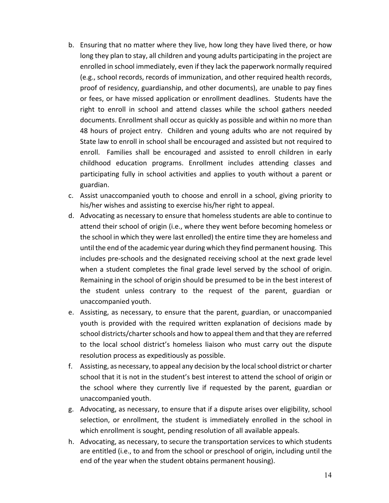- b. Ensuring that no matter where they live, how long they have lived there, or how long they plan to stay, all children and young adults participating in the project are enrolled in school immediately, even if they lack the paperwork normally required (e.g., school records, records of immunization, and other required health records, proof of residency, guardianship, and other documents), are unable to pay fines or fees, or have missed application or enrollment deadlines. Students have the right to enroll in school and attend classes while the school gathers needed documents. Enrollment shall occur as quickly as possible and within no more than 48 hours of project entry. Children and young adults who are not required by State law to enroll in school shall be encouraged and assisted but not required to enroll. Families shall be encouraged and assisted to enroll children in early childhood education programs. Enrollment includes attending classes and participating fully in school activities and applies to youth without a parent or guardian.
- c. Assist unaccompanied youth to choose and enroll in a school, giving priority to his/her wishes and assisting to exercise his/her right to appeal.
- d. Advocating as necessary to ensure that homeless students are able to continue to attend their school of origin (i.e., where they went before becoming homeless or the school in which they were last enrolled) the entire time they are homeless and until the end of the academic year during which they find permanent housing. This includes pre-schools and the designated receiving school at the next grade level when a student completes the final grade level served by the school of origin. Remaining in the school of origin should be presumed to be in the best interest of the student unless contrary to the request of the parent, guardian or unaccompanied youth.
- e. Assisting, as necessary, to ensure that the parent, guardian, or unaccompanied youth is provided with the required written explanation of decisions made by school districts/charter schools and how to appeal them and that they are referred to the local school district's homeless liaison who must carry out the dispute resolution process as expeditiously as possible.
- f. Assisting, as necessary, to appeal any decision by the local school district or charter school that it is not in the student's best interest to attend the school of origin or the school where they currently live if requested by the parent, guardian or unaccompanied youth.
- g. Advocating, as necessary, to ensure that if a dispute arises over eligibility, school selection, or enrollment, the student is immediately enrolled in the school in which enrollment is sought, pending resolution of all available appeals.
- h. Advocating, as necessary, to secure the transportation services to which students are entitled (i.e., to and from the school or preschool of origin, including until the end of the year when the student obtains permanent housing).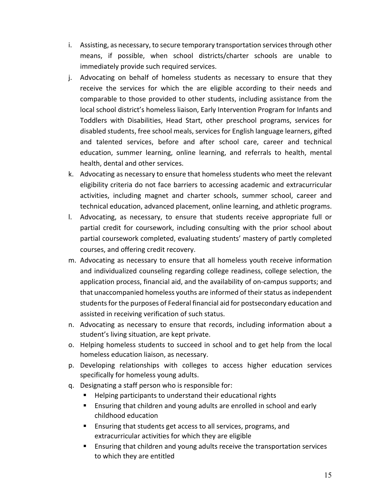- i. Assisting, as necessary, to secure temporary transportation services through other means, if possible, when school districts/charter schools are unable to immediately provide such required services.
- j. Advocating on behalf of homeless students as necessary to ensure that they receive the services for which the are eligible according to their needs and comparable to those provided to other students, including assistance from the local school district's homeless liaison, Early Intervention Program for Infants and Toddlers with Disabilities, Head Start, other preschool programs, services for disabled students, free school meals, services for English language learners, gifted and talented services, before and after school care, career and technical education, summer learning, online learning, and referrals to health, mental health, dental and other services.
- k. Advocating as necessary to ensure that homeless students who meet the relevant eligibility criteria do not face barriers to accessing academic and extracurricular activities, including magnet and charter schools, summer school, career and technical education, advanced placement, online learning, and athletic programs.
- l. Advocating, as necessary, to ensure that students receive appropriate full or partial credit for coursework, including consulting with the prior school about partial coursework completed, evaluating students' mastery of partly completed courses, and offering credit recovery.
- m. Advocating as necessary to ensure that all homeless youth receive information and individualized counseling regarding college readiness, college selection, the application process, financial aid, and the availability of on-campus supports; and that unaccompanied homeless youths are informed of their status as independent students for the purposes of Federal financial aid for postsecondary education and assisted in receiving verification of such status.
- n. Advocating as necessary to ensure that records, including information about a student's living situation, are kept private.
- o. Helping homeless students to succeed in school and to get help from the local homeless education liaison, as necessary.
- p. Developing relationships with colleges to access higher education services specifically for homeless young adults.
- q. Designating a staff person who is responsible for:
	- Helping participants to understand their educational rights
	- **Ensuring that children and young adults are enrolled in school and early** childhood education
	- **Ensuring that students get access to all services, programs, and** extracurricular activities for which they are eligible
	- Ensuring that children and young adults receive the transportation services to which they are entitled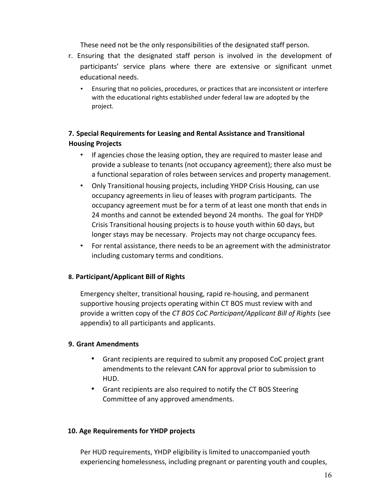These need not be the only responsibilities of the designated staff person.

- r. Ensuring that the designated staff person is involved in the development of participants' service plans where there are extensive or significant unmet educational needs.
	- Ensuring that no policies, procedures, or practices that are inconsistent or interfere with the educational rights established under federal law are adopted by the project.

# **7. Special Requirements for Leasing and Rental Assistance and Transitional Housing Projects**

- If agencies chose the leasing option, they are required to master lease and provide a sublease to tenants (not occupancy agreement); there also must be a functional separation of roles between services and property management.
- Only Transitional housing projects, including YHDP Crisis Housing, can use occupancy agreements in lieu of leases with program participants. The occupancy agreement must be for a term of at least one month that ends in 24 months and cannot be extended beyond 24 months. The goal for YHDP Crisis Transitional housing projects is to house youth within 60 days, but longer stays may be necessary. Projects may not charge occupancy fees.
- For rental assistance, there needs to be an agreement with the administrator including customary terms and conditions.

#### **8. Participant/Applicant Bill of Rights**

Emergency shelter, transitional housing, rapid re-housing, and permanent supportive housing projects operating within CT BOS must review with and provide a written copy of the *CT BOS CoC Participant/Applicant Bill of Rights* (see appendix) to all participants and applicants.

#### **9. Grant Amendments**

- Grant recipients are required to submit any proposed CoC project grant amendments to the relevant CAN for approval prior to submission to HUD.
- Grant recipients are also required to notify the CT BOS Steering Committee of any approved amendments.

#### **10. Age Requirements for YHDP projects**

Per HUD requirements, YHDP eligibility is limited to unaccompanied youth experiencing homelessness, including pregnant or parenting youth and couples,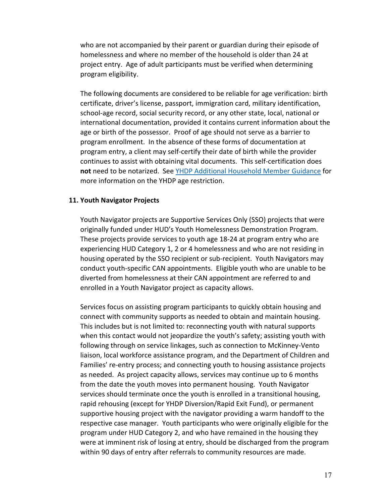who are not accompanied by their parent or guardian during their episode of homelessness and where no member of the household is older than 24 at project entry. Age of adult participants must be verified when determining program eligibility.

The following documents are considered to be reliable for age verification: birth certificate, driver's license, passport, immigration card, military identification, school-age record, social security record, or any other state, local, national or international documentation, provided it contains current information about the age or birth of the possessor. Proof of age should not serve as a barrier to program enrollment. In the absence of these forms of documentation at program entry, a client may self-certify their date of birth while the provider continues to assist with obtaining vital documents. This self-certification does **not** need to be notarized. See [YHDP Additional Household Member Guidance](https://www.ctbos.org/wp-content/uploads/2021/04/YHDP-Additional-Household-Member-Guidance_March-2021.pdf) for more information on the YHDP age restriction.

#### **11. Youth Navigator Projects**

Youth Navigator projects are Supportive Services Only (SSO) projects that were originally funded under HUD's Youth Homelessness Demonstration Program. These projects provide services to youth age 18-24 at program entry who are experiencing HUD Category 1, 2 or 4 homelessness and who are not residing in housing operated by the SSO recipient or sub-recipient. Youth Navigators may conduct youth-specific CAN appointments. Eligible youth who are unable to be diverted from homelessness at their CAN appointment are referred to and enrolled in a Youth Navigator project as capacity allows.

Services focus on assisting program participants to quickly obtain housing and connect with community supports as needed to obtain and maintain housing. This includes but is not limited to: reconnecting youth with natural supports when this contact would not jeopardize the youth's safety; assisting youth with following through on service linkages, such as connection to McKinney-Vento liaison, local workforce assistance program, and the Department of Children and Families' re-entry process; and connecting youth to housing assistance projects as needed. As project capacity allows, services may continue up to 6 months from the date the youth moves into permanent housing. Youth Navigator services should terminate once the youth is enrolled in a transitional housing, rapid rehousing (except for YHDP Diversion/Rapid Exit Fund), or permanent supportive housing project with the navigator providing a warm handoff to the respective case manager. Youth participants who were originally eligible for the program under HUD Category 2, and who have remained in the housing they were at imminent risk of losing at entry, should be discharged from the program within 90 days of entry after referrals to community resources are made.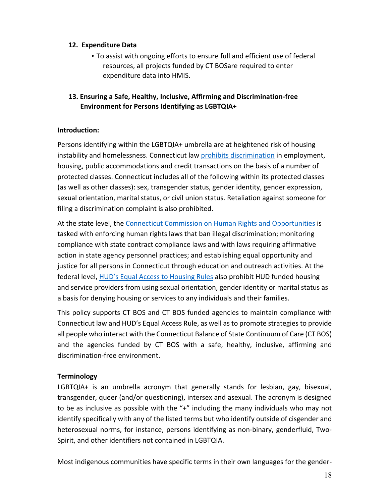#### **12. Expenditure Data**

• To assist with ongoing efforts to ensure full and efficient use of federal resources, all projects funded by CT BOSare required to enter expenditure data into HMIS.

# **13. Ensuring a Safe, Healthy, Inclusive, Affirming and Discrimination-free Environment for Persons Identifying as LGBTQIA+**

#### **Introduction:**

Persons identifying within the LGBTQIA+ umbrella are at heightened risk of housing instability and homelessness. Connecticut law [prohibits discrimination](https://portal.ct.gov/-/media/CHRO/DiscriminationFlyerpdf.pdf) in employment, housing, public accommodations and credit transactions on the basis of a number of protected classes. Connecticut includes all of the following within its protected classes (as well as other classes): sex, transgender status, gender identity, gender expression, sexual orientation, marital status, or civil union status. Retaliation against someone for filing a discrimination complaint is also prohibited.

At the state level, the [Connecticut Commission on Human Rights and Opportunities](https://portal.ct.gov/CHRO) is tasked with enforcing human rights laws that ban illegal discrimination; monitoring compliance with state contract compliance laws and with laws requiring affirmative action in state agency personnel practices; and establishing equal opportunity and justice for all persons in Connecticut through education and outreach activities. At the federal level, [HUD's Equal Access to Housing Rules](https://www.hudexchange.info/resource/1991/equal-access-to-housing-final-rule/) also prohibit HUD funded housing and service providers from using sexual orientation, gender identity or marital status as a basis for denying housing or services to any individuals and their families.

This policy supports CT BOS and CT BOS funded agencies to maintain compliance with Connecticut law and HUD's Equal Access Rule, as well as to promote strategies to provide all people who interact with the Connecticut Balance of State Continuum of Care (CT BOS) and the agencies funded by CT BOS with a safe, healthy, inclusive, affirming and discrimination-free environment.

#### **Terminology**

LGBTQIA+ is an umbrella acronym that generally stands for lesbian, gay, bisexual, transgender, queer (and/or questioning), intersex and asexual. The acronym is designed to be as inclusive as possible with the "+" including the many individuals who may not identify specifically with any of the listed terms but who identify outside of cisgender and heterosexual norms, for instance, persons identifying as non-binary, genderfluid, Two-Spirit, and other identifiers not contained in LGBTQIA.

Most indigenous communities have specific terms in their own languages for the gender-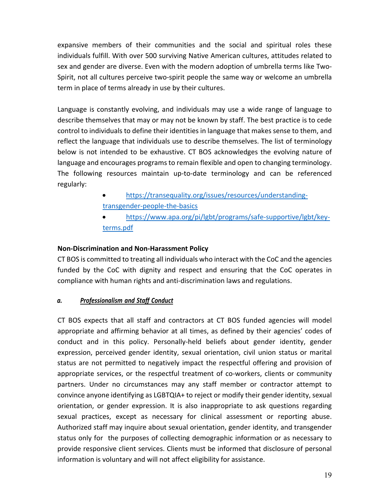expansive members of their communities and the social and spiritual roles these individuals fulfill. With over 500 surviving Native American cultures, attitudes related to sex and gender are diverse. Even with the modern adoption of umbrella terms like Two-Spirit, not all cultures perceive two-spirit people the same way or welcome an umbrella term in place of terms already in use by their cultures.

Language is constantly evolving, and individuals may use a wide range of language to describe themselves that may or may not be known by staff. The best practice is to cede control to individuals to define their identities in language that makes sense to them, and reflect the language that individuals use to describe themselves. The list of terminology below is not intended to be exhaustive. CT BOS acknowledges the evolving nature of language and encourages programs to remain flexible and open to changing terminology. The following resources maintain up-to-date terminology and can be referenced regularly:

- [https://transequality.org/issues/resources/understanding](https://transequality.org/issues/resources/understanding-transgender-people-the-basics)[transgender-people-the-basics](https://transequality.org/issues/resources/understanding-transgender-people-the-basics)
- [https://www.apa.org/pi/lgbt/programs/safe-supportive/lgbt/key](https://www.apa.org/pi/lgbt/programs/safe-supportive/lgbt/key-terms.pdf)[terms.pdf](https://www.apa.org/pi/lgbt/programs/safe-supportive/lgbt/key-terms.pdf)

# **Non-Discrimination and Non-Harassment Policy**

CT BOS is committed to treating all individuals who interact with the CoC and the agencies funded by the CoC with dignity and respect and ensuring that the CoC operates in compliance with human rights and anti-discrimination laws and regulations.

# *a. Professionalism and Staff Conduct*

CT BOS expects that all staff and contractors at CT BOS funded agencies will model appropriate and affirming behavior at all times, as defined by their agencies' codes of conduct and in this policy. Personally-held beliefs about gender identity, gender expression, perceived gender identity, sexual orientation, civil union status or marital status are not permitted to negatively impact the respectful offering and provision of appropriate services, or the respectful treatment of co-workers, clients or community partners. Under no circumstances may any staff member or contractor attempt to convince anyone identifying as LGBTQIA+ to reject or modify their gender identity, sexual orientation, or gender expression. It is also inappropriate to ask questions regarding sexual practices, except as necessary for clinical assessment or reporting abuse. Authorized staff may inquire about sexual orientation, gender identity, and transgender status only for the purposes of collecting demographic information or as necessary to provide responsive client services. Clients must be informed that disclosure of personal information is voluntary and will not affect eligibility for assistance.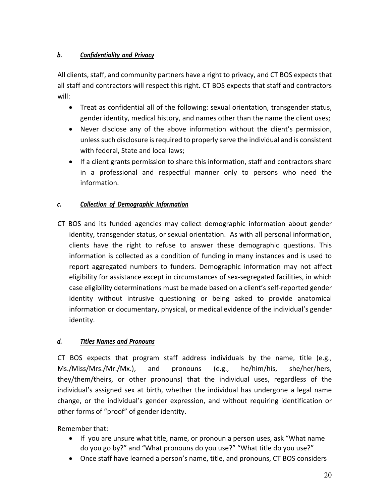# *b. Confidentiality and Privacy*

All clients, staff, and community partners have a right to privacy, and CT BOS expects that all staff and contractors will respect this right. CT BOS expects that staff and contractors will:

- Treat as confidential all of the following: sexual orientation, transgender status, gender identity, medical history, and names other than the name the client uses;
- Never disclose any of the above information without the client's permission, unless such disclosure is required to properly serve the individual and is consistent with federal, State and local laws;
- If a client grants permission to share this information, staff and contractors share in a professional and respectful manner only to persons who need the information.

# *c. Collection of Demographic Information*

CT BOS and its funded agencies may collect demographic information about gender identity, transgender status, or sexual orientation. As with all personal information, clients have the right to refuse to answer these demographic questions. This information is collected as a condition of funding in many instances and is used to report aggregated numbers to funders. Demographic information may not affect eligibility for assistance except in circumstances of sex-segregated facilities, in which case eligibility determinations must be made based on a client's self-reported gender identity without intrusive questioning or being asked to provide anatomical information or documentary, physical, or medical evidence of the individual's gender identity.

# *d. Titles Names and Pronouns*

CT BOS expects that program staff address individuals by the name, title (e.g., Ms./Miss/Mrs./Mr./Mx.), and pronouns (e.g., he/him/his, she/her/hers, they/them/theirs, or other pronouns) that the individual uses, regardless of the individual's assigned sex at birth, whether the individual has undergone a legal name change, or the individual's gender expression, and without requiring identification or other forms of "proof" of gender identity.

Remember that:

- If you are unsure what title, name, or pronoun a person uses, ask "What name do you go by?" and "What pronouns do you use?" "What title do you use?"
- Once staff have learned a person's name, title, and pronouns, CT BOS considers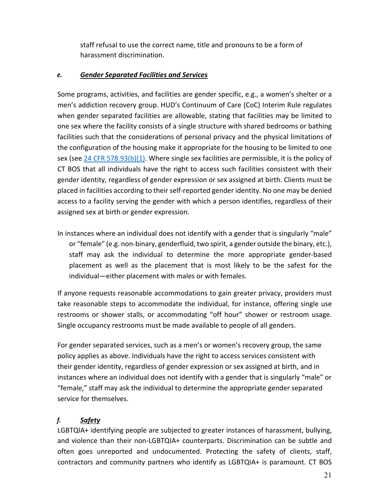staff refusal to use the correct name, title and pronouns to be a form of harassment discrimination.

# *e. Gender Separated Facilities and Services*

Some programs, activities, and facilities are gender specific, e.g., a women's shelter or a men's addiction recovery group. HUD's Continuum of Care (CoC) Interim Rule regulates when gender separated facilities are allowable, stating that facilities may be limited to one sex where the facility consists of a single structure with shared bedrooms or bathing facilities such that the considerations of personal privacy and the physical limitations of the configuration of the housing make it appropriate for the housing to be limited to one sex (see [24 CFR 578.93\(b\)\(1\).](https://www.law.cornell.edu/cfr/text/24/578.93) Where single sex facilities are permissible, it is the policy of CT BOS that all individuals have the right to access such facilities consistent with their gender identity, regardless of gender expression or sex assigned at birth. Clients must be placed in facilities according to their self-reported gender identity. No one may be denied access to a facility serving the gender with which a person identifies, regardless of their assigned sex at birth or gender expression.

In instances where an individual does not identify with a gender that is singularly "male" or "female" (e.g. non-binary, genderfluid, two spirit, a gender outside the binary, etc.), staff may ask the individual to determine the more appropriate gender-based placement as well as the placement that is most likely to be the safest for the individual—either placement with males or with females.

If anyone requests reasonable accommodations to gain greater privacy, providers must take reasonable steps to accommodate the individual, for instance, offering single use restrooms or shower stalls, or accommodating "off hour" shower or restroom usage. Single occupancy restrooms must be made available to people of all genders.

For gender separated services, such as a men's or women's recovery group, the same policy applies as above. Individuals have the right to access services consistent with their gender identity, regardless of gender expression or sex assigned at birth, and in instances where an individual does not identify with a gender that is singularly "male" or "female," staff may ask the individual to determine the appropriate gender separated service for themselves.

# *f. Safety*

LGBTQIA+ identifying people are subjected to greater instances of harassment, bullying, and violence than their non-LGBTQIA+ counterparts. Discrimination can be subtle and often goes unreported and undocumented. Protecting the safety of clients, staff, contractors and community partners who identify as LGBTQIA+ is paramount. CT BOS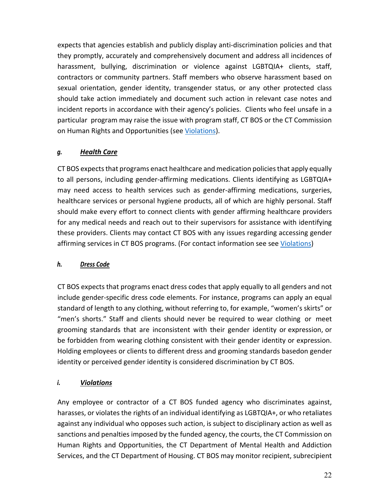expects that agencies establish and publicly display anti-discrimination policies and that they promptly, accurately and comprehensively document and address all incidences of harassment, bullying, discrimination or violence against LGBTQIA+ clients, staff, contractors or community partners. Staff members who observe harassment based on sexual orientation, gender identity, transgender status, or any other protected class should take action immediately and document such action in relevant case notes and incident reports in accordance with their agency's policies. Clients who feel unsafe in a particular program may raise the issue with program staff, CT BOS or the CT Commission on Human Rights and Opportunities (see [Violations\)](#page-21-0).

# *g. Health Care*

CT BOS expects that programs enact healthcare and medication policies that apply equally to all persons, including gender-affirming medications. Clients identifying as LGBTQIA+ may need access to health services such as gender-affirming medications, surgeries, healthcare services or personal hygiene products, all of which are highly personal. Staff should make every effort to connect clients with gender affirming healthcare providers for any medical needs and reach out to their supervisors for assistance with identifying these providers. Clients may contact CT BOS with any issues regarding accessing gender affirming services in CT BOS programs. (For contact information see see [Violations\)](#page-21-0)

# *h. Dress Code*

CT BOS expects that programs enact dress codes that apply equally to all genders and not include gender-specific dress code elements. For instance, programs can apply an equal standard of length to any clothing, without referring to, for example, "women's skirts" or "men's shorts." Staff and clients should never be required to wear clothing or meet grooming standards that are inconsistent with their gender identity or expression, or be forbidden from wearing clothing consistent with their gender identity or expression. Holding employees or clients to different dress and grooming standards basedon gender identity or perceived gender identity is considered discrimination by CT BOS.

# <span id="page-21-0"></span>*i. Violations*

Any employee or contractor of a CT BOS funded agency who discriminates against, harasses, or violates the rights of an individual identifying as LGBTQIA+, or who retaliates against any individual who opposes such action, is subject to disciplinary action as well as sanctions and penalties imposed by the funded agency, the courts, the CT Commission on Human Rights and Opportunities, the CT Department of Mental Health and Addiction Services, and the CT Department of Housing. CT BOS may monitor recipient, subrecipient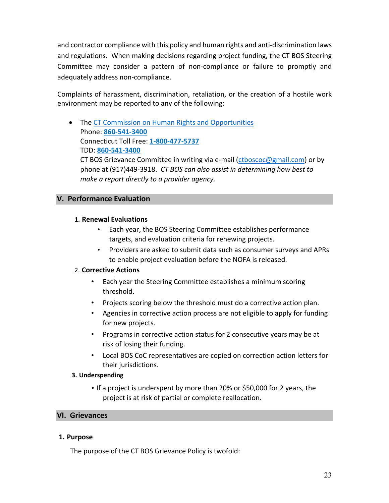and contractor compliance with this policy and human rights and anti-discrimination laws and regulations. When making decisions regarding project funding, the CT BOS Steering Committee may consider a pattern of non-compliance or failure to promptly and adequately address non-compliance.

Complaints of harassment, discrimination, retaliation, or the creation of a hostile work environment may be reported to any of the following:

• The [CT Commission on Human Rights and Opportunities](https://portal.ct.gov/CHRO/Commission/Commission/Contact-Us) Phone: **[860-541-3400](tel:8605413400)** Connecticut Toll Free: **[1-800-477-5737](tel:18004775737)** TDD: **[860-541-3400](tel:8605413400)** CT BOS Grievance Committee in writing via e-mail [\(ctboscoc@gmail.com\)](mailto:ctboscoc@gmail.com) or by

phone at (917)449-3918. *CT BOS can also assist in determining how best to make a report directly to a provider agency.*

# <span id="page-22-0"></span>**V. Performance Evaluation**

#### **1. Renewal Evaluations**

- Each year, the BOS Steering Committee establishes performance targets, and evaluation criteria for renewing projects.
- Providers are asked to submit data such as consumer surveys and APRs to enable project evaluation before the NOFA is released.

#### 2. **Corrective Actions**

- Each year the Steering Committee establishes a minimum scoring threshold.
- Projects scoring below the threshold must do a corrective action plan.
- Agencies in corrective action process are not eligible to apply for funding for new projects.
- Programs in corrective action status for 2 consecutive years may be at risk of losing their funding.
- Local BOS CoC representatives are copied on correction action letters for their jurisdictions.

#### **3. Underspending**

• If a project is underspent by more than 20% or \$50,000 for 2 years, the project is at risk of partial or complete reallocation.

#### <span id="page-22-1"></span>**VI. Grievances**

#### **1. Purpose**

The purpose of the CT BOS Grievance Policy is twofold: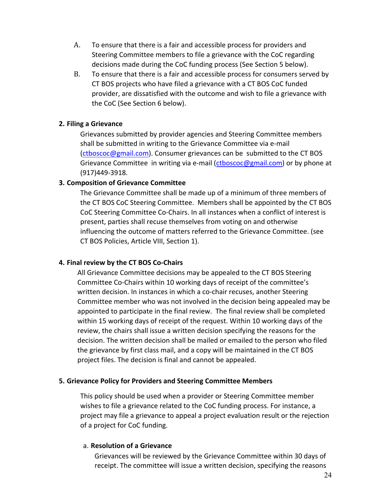- A. To ensure that there is a fair and accessible process for providers and Steering Committee members to file a grievance with the CoC regarding decisions made during the CoC funding process (See Section 5 below).
- B. To ensure that there is a fair and accessible process for consumers served by CT BOS projects who have filed a grievance with a CT BOS CoC funded provider, are dissatisfied with the outcome and wish to file a grievance with the CoC (See Section 6 below).

### **2. Filing a Grievance**

Grievances submitted by provider agencies and Steering Committee members shall be submitted in writing to the Grievance Committee via e-mail (ctboscoc@gmail.com). Consumer grievances can be submitted to the CT BOS Grievance Committee in writing via e-mail (ctboscoc@gmail.com) or by phone at (917)449-3918.

#### **3. Composition of Grievance Committee**

The Grievance Committee shall be made up of a minimum of three members of the CT BOS CoC Steering Committee. Members shall be appointed by the CT BOS CoC Steering Committee Co-Chairs. In all instances when a conflict of interest is present, parties shall recuse themselves from voting on and otherwise influencing the outcome of matters referred to the Grievance Committee. (see CT BOS Policies, Article VIII, Section 1).

#### **4. Final review by the CT BOS Co-Chairs**

All Grievance Committee decisions may be appealed to the CT BOS Steering Committee Co-Chairs within 10 working days of receipt of the committee's written decision. In instances in which a co-chair recuses, another Steering Committee member who was not involved in the decision being appealed may be appointed to participate in the final review. The final review shall be completed within 15 working days of receipt of the request. Within 10 working days of the review, the chairs shall issue a written decision specifying the reasons for the decision. The written decision shall be mailed or emailed to the person who filed the grievance by first class mail, and a copy will be maintained in the CT BOS project files. The decision is final and cannot be appealed.

#### **5. Grievance Policy for Providers and Steering Committee Members**

This policy should be used when a provider or Steering Committee member wishes to file a grievance related to the CoC funding process. For instance, a project may file a grievance to appeal a project evaluation result or the rejection of a project for CoC funding.

#### a. **Resolution of a Grievance**

Grievances will be reviewed by the Grievance Committee within 30 days of receipt. The committee will issue a written decision, specifying the reasons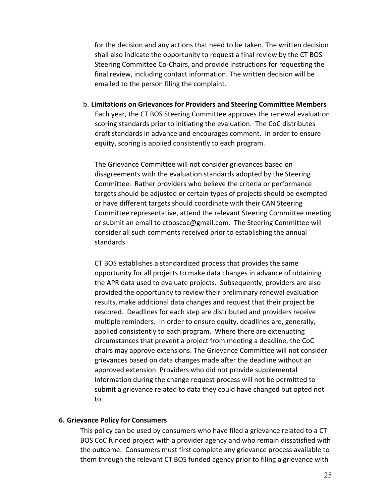for the decision and any actions that need to be taken. The written decision shall also indicate the opportunity to request a final review by the CT BOS Steering Committee Co-Chairs, and provide instructions for requesting the final review, including contact information. The written decision will be emailed to the person filing the complaint.

b. **Limitations on Grievances for Providers and Steering Committee Members** Each year, the CT BOS Steering Committee approves the renewal evaluation scoring standards prior to initiating the evaluation. The CoC distributes draft standards in advance and encourages comment. In order to ensure equity, scoring is applied consistently to each program.

The Grievance Committee will not consider grievances based on disagreements with the evaluation standards adopted by the Steering Committee. Rather providers who believe the criteria or performance targets should be adjusted or certain types of projects should be exempted or have different targets should coordinate with their CAN Steering Committee representative, attend the relevant Steering Committee meeting or submit an email to ctboscoc@gmail.com. The Steering Committee will consider all such comments received prior to establishing the annual standards

CT BOS establishes a standardized process that provides the same opportunity for all projects to make data changes in advance of obtaining the APR data used to evaluate projects. Subsequently, providers are also provided the opportunity to review their preliminary renewal evaluation results, make additional data changes and request that their project be rescored. Deadlines for each step are distributed and providers receive multiple reminders. In order to ensure equity, deadlines are, generally, applied consistently to each program. Where there are extenuating circumstances that prevent a project from meeting a deadline, the CoC chairs may approve extensions. The Grievance Committee will not consider grievances based on data changes made after the deadline without an approved extension. Providers who did not provide supplemental information during the change request process will not be permitted to submit a grievance related to data they could have changed but opted not to.

#### **6. Grievance Policy for Consumers**

This policy can be used by consumers who have filed a grievance related to a CT BOS CoC funded project with a provider agency and who remain dissatisfied with the outcome. Consumers must first complete any grievance process available to them through the relevant CT BOS funded agency prior to filing a grievance with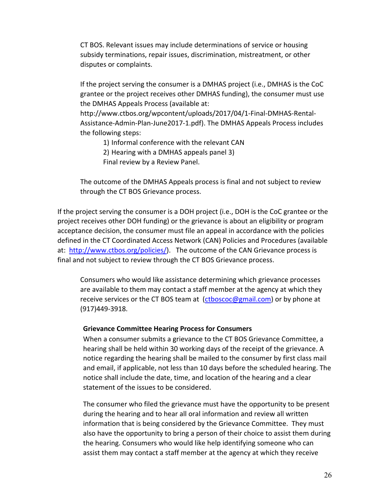CT BOS. Relevant issues may include determinations of service or housing subsidy terminations, repair issues, discrimination, mistreatment, or other disputes or complaints.

If the project serving the consumer is a DMHAS project (i.e., DMHAS is the CoC grantee or the project receives other DMHAS funding), the consumer must use the DMHAS Appeals Process (available at:

http://www.ctbos.org/wpcontent/uploads/2017/04/1-Final-DMHAS-Rental-Assistance-Admin-Plan-June2017-1.pdf). The DMHAS Appeals Process includes the following steps:

1) Informal conference with the relevant CAN

2) Hearing with a DMHAS appeals panel 3)

Final review by a Review Panel.

The outcome of the DMHAS Appeals process is final and not subject to review through the CT BOS Grievance process.

If the project serving the consumer is a DOH project (i.e., DOH is the CoC grantee or the project receives other DOH funding) or the grievance is about an eligibility or program acceptance decision, the consumer must file an appeal in accordance with the policies defined in the CT Coordinated Access Network (CAN) Policies and Procedures (available at: http://www.ctbos.org/policies/). The outcome of the CAN Grievance process is final and not subject to review through the CT BOS Grievance process.

Consumers who would like assistance determining which grievance processes are available to them may contact a staff member at the agency at which they receive services or the CT BOS team at (ctboscoc@gmail.com) or by phone at (917)449-3918.

#### **Grievance Committee Hearing Process for Consumers**

When a consumer submits a grievance to the CT BOS Grievance Committee, a hearing shall be held within 30 working days of the receipt of the grievance. A notice regarding the hearing shall be mailed to the consumer by first class mail and email, if applicable, not less than 10 days before the scheduled hearing. The notice shall include the date, time, and location of the hearing and a clear statement of the issues to be considered.

The consumer who filed the grievance must have the opportunity to be present during the hearing and to hear all oral information and review all written information that is being considered by the Grievance Committee. They must also have the opportunity to bring a person of their choice to assist them during the hearing. Consumers who would like help identifying someone who can assist them may contact a staff member at the agency at which they receive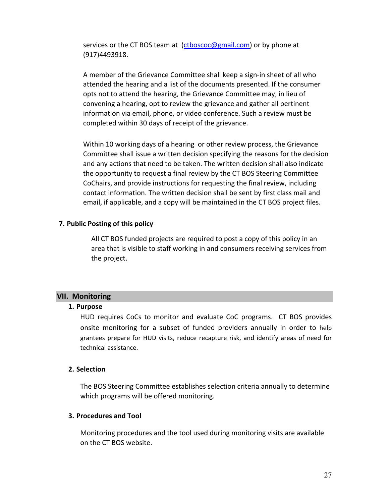services or the CT BOS team at (ctboscoc@gmail.com) or by phone at (917)4493918.

A member of the Grievance Committee shall keep a sign-in sheet of all who attended the hearing and a list of the documents presented. If the consumer opts not to attend the hearing, the Grievance Committee may, in lieu of convening a hearing, opt to review the grievance and gather all pertinent information via email, phone, or video conference. Such a review must be completed within 30 days of receipt of the grievance.

Within 10 working days of a hearing or other review process, the Grievance Committee shall issue a written decision specifying the reasons for the decision and any actions that need to be taken. The written decision shall also indicate the opportunity to request a final review by the CT BOS Steering Committee CoChairs, and provide instructions for requesting the final review, including contact information. The written decision shall be sent by first class mail and email, if applicable, and a copy will be maintained in the CT BOS project files.

#### **7. Public Posting of this policy**

All CT BOS funded projects are required to post a copy of this policy in an area that is visible to staff working in and consumers receiving services from the project.

# <span id="page-26-0"></span>**VII. Monitoring**

#### **1. Purpose**

HUD requires CoCs to monitor and evaluate CoC programs. CT BOS provides onsite monitoring for a subset of funded providers annually in order to help grantees prepare for HUD visits, reduce recapture risk, and identify areas of need for technical assistance.

#### **2. Selection**

The BOS Steering Committee establishes selection criteria annually to determine which programs will be offered monitoring.

### **3. Procedures and Tool**

Monitoring procedures and the tool used during monitoring visits are available on the CT BOS website.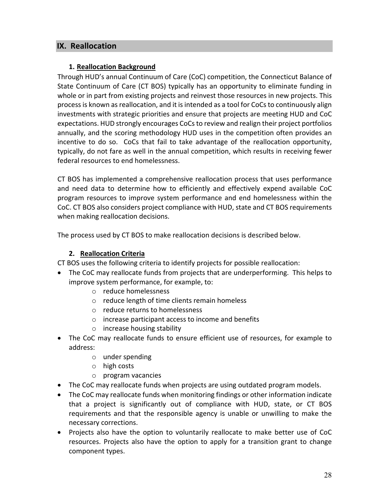# <span id="page-27-0"></span>**IX. Reallocation**

#### **1. Reallocation Background**

Through HUD's annual Continuum of Care (CoC) competition, the Connecticut Balance of State Continuum of Care (CT BOS) typically has an opportunity to eliminate funding in whole or in part from existing projects and reinvest those resources in new projects. This process is known as reallocation, and it is intended as a tool for CoCs to continuously align investments with strategic priorities and ensure that projects are meeting HUD and CoC expectations. HUD strongly encourages CoCs to review and realign their project portfolios annually, and the scoring methodology HUD uses in the competition often provides an incentive to do so. CoCs that fail to take advantage of the reallocation opportunity, typically, do not fare as well in the annual competition, which results in receiving fewer federal resources to end homelessness.

CT BOS has implemented a comprehensive reallocation process that uses performance and need data to determine how to efficiently and effectively expend available CoC program resources to improve system performance and end homelessness within the CoC. CT BOS also considers project compliance with HUD, state and CT BOS requirements when making reallocation decisions.

The process used by CT BOS to make reallocation decisions is described below.

### **2. Reallocation Criteria**

CT BOS uses the following criteria to identify projects for possible reallocation:

- The CoC may reallocate funds from projects that are underperforming. This helps to improve system performance, for example, to:
	- o reduce homelessness
	- o reduce length of time clients remain homeless
	- o reduce returns to homelessness
	- o increase participant access to income and benefits
	- o increase housing stability
- The CoC may reallocate funds to ensure efficient use of resources, for example to address:
	- o under spending
	- o high costs
	- o program vacancies
- The CoC may reallocate funds when projects are using outdated program models.
- The CoC may reallocate funds when monitoring findings or other information indicate that a project is significantly out of compliance with HUD, state, or CT BOS requirements and that the responsible agency is unable or unwilling to make the necessary corrections.
- Projects also have the option to voluntarily reallocate to make better use of CoC resources. Projects also have the option to apply for a transition grant to change component types.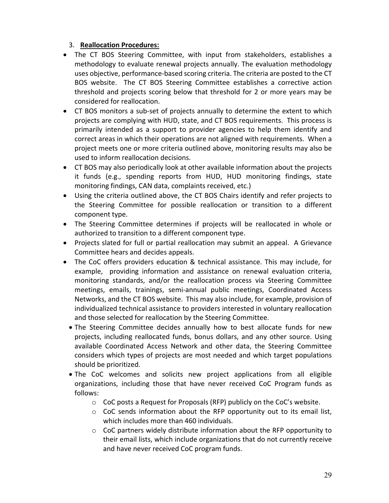### 3. **Reallocation Procedures:**

- The CT BOS Steering Committee, with input from stakeholders, establishes a methodology to evaluate renewal projects annually. The evaluation methodology uses objective, performance-based scoring criteria. The criteria are posted to the CT BOS website. The CT BOS Steering Committee establishes a corrective action threshold and projects scoring below that threshold for 2 or more years may be considered for reallocation.
- CT BOS monitors a sub-set of projects annually to determine the extent to which projects are complying with HUD, state, and CT BOS requirements. This process is primarily intended as a support to provider agencies to help them identify and correct areas in which their operations are not aligned with requirements. When a project meets one or more criteria outlined above, monitoring results may also be used to inform reallocation decisions.
- CT BOS may also periodically look at other available information about the projects it funds (e.g., spending reports from HUD, HUD monitoring findings, state monitoring findings, CAN data, complaints received, etc.)
- Using the criteria outlined above, the CT BOS Chairs identify and refer projects to the Steering Committee for possible reallocation or transition to a different component type.
- The Steering Committee determines if projects will be reallocated in whole or authorized to transition to a different component type.
- Projects slated for full or partial reallocation may submit an appeal. A Grievance Committee hears and decides appeals.
- The CoC offers providers education & technical assistance. This may include, for example, providing information and assistance on renewal evaluation criteria, monitoring standards, and/or the reallocation process via Steering Committee meetings, emails, trainings, semi-annual public meetings, Coordinated Access Networks, and the CT BOS website. This may also include, for example, provision of individualized technical assistance to providers interested in voluntary reallocation and those selected for reallocation by the Steering Committee.
	- The Steering Committee decides annually how to best allocate funds for new projects, including reallocated funds, bonus dollars, and any other source. Using available Coordinated Access Network and other data, the Steering Committee considers which types of projects are most needed and which target populations should be prioritized.
	- The CoC welcomes and solicits new project applications from all eligible organizations, including those that have never received CoC Program funds as follows:
		- o CoC posts a Request for Proposals (RFP) publicly on the CoC's website.
		- $\circ$  CoC sends information about the RFP opportunity out to its email list, which includes more than 460 individuals.
		- $\circ$  CoC partners widely distribute information about the RFP opportunity to their email lists, which include organizations that do not currently receive and have never received CoC program funds.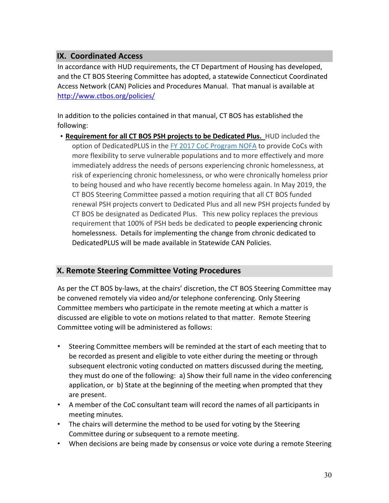# <span id="page-29-0"></span>**IX. Coordinated Access**

In accordance with HUD requirements, the CT Department of Housing has developed, and the CT BOS Steering Committee has adopted, a statewide Connecticut Coordinated Access Network (CAN) Policies and Procedures Manual. That manual is available at http://www.ctbos.org/policies/

In addition to the policies contained in that manual, CT BOS has established the following:

• **Requirement for all CT BOS PSH projects to be Dedicated Plus.** HUD included the option of DedicatedPLUS in the FY 2017 CoC Program NOFA to provide CoCs with more flexibility to serve vulnerable populations and to more effectively and more immediately address the needs of persons experiencing chronic homelessness, at risk of experiencing chronic homelessness, or who were chronically homeless prior to being housed and who have recently become homeless again. In May 2019, the CT BOS Steering Committee passed a motion requiring that all CT BOS funded renewal PSH projects convert to Dedicated Plus and all new PSH projects funded by CT BOS be designated as Dedicated Plus. This new policy replaces the previous requirement that 100% of PSH beds be dedicated to people experiencing chronic homelessness. Details for implementing the change from chronic dedicated to DedicatedPLUS will be made available in Statewide CAN Policies.

# <span id="page-29-1"></span>**X. Remote Steering Committee Voting Procedures**

As per the CT BOS by-laws, at the chairs' discretion, the CT BOS Steering Committee may be convened remotely via video and/or telephone conferencing. Only Steering Committee members who participate in the remote meeting at which a matter is discussed are eligible to vote on motions related to that matter. Remote Steering Committee voting will be administered as follows:

- Steering Committee members will be reminded at the start of each meeting that to be recorded as present and eligible to vote either during the meeting or through subsequent electronic voting conducted on matters discussed during the meeting, they must do one of the following: a) Show their full name in the video conferencing application, or b) State at the beginning of the meeting when prompted that they are present.
- A member of the CoC consultant team will record the names of all participants in meeting minutes.
- The chairs will determine the method to be used for voting by the Steering Committee during or subsequent to a remote meeting.
- When decisions are being made by consensus or voice vote during a remote Steering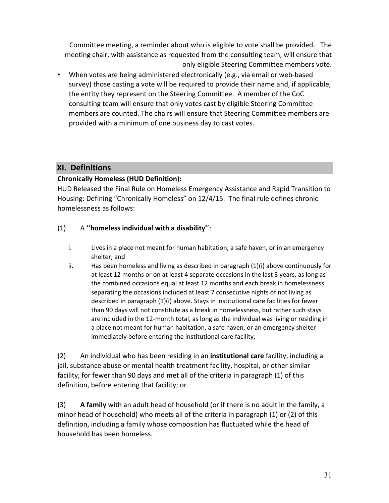Committee meeting, a reminder about who is eligible to vote shall be provided. The meeting chair, with assistance as requested from the consulting team, will ensure that only eligible Steering Committee members vote.

• When votes are being administered electronically (e.g., via email or web-based survey) those casting a vote will be required to provide their name and, if applicable, the entity they represent on the Steering Committee. A member of the CoC consulting team will ensure that only votes cast by eligible Steering Committee members are counted. The chairs will ensure that Steering Committee members are provided with a minimum of one business day to cast votes.

# <span id="page-30-0"></span>**XI. Definitions**

# **Chronically Homeless (HUD Definition):**

HUD Released the Final Rule on Homeless Emergency Assistance and Rapid Transition to Housing: Defining "Chronically Homeless" on 12/4/15. The final rule defines chronic homelessness as follows:

# (1) A **''homeless individual with a disability'**':

- i. Lives in a place not meant for human habitation, a safe haven, or in an emergency shelter; and
- ii. Has been homeless and living as described in paragraph  $(1)(i)$  above continuously for at least 12 months or on at least 4 separate occasions in the last 3 years, as long as the combined occasions equal at least 12 months and each break in homelessness separating the occasions included at least 7 consecutive nights of not living as described in paragraph (1)(i) above. Stays in institutional care facilities for fewer than 90 days will not constitute as a break in homelessness, but rather such stays are included in the 12-month total, as long as the individual was living or residing in a place not meant for human habitation, a safe haven, or an emergency shelter immediately before entering the institutional care facility;

(2) An individual who has been residing in an **institutional care** facility, including a jail, substance abuse or mental health treatment facility, hospital, or other similar facility, for fewer than 90 days and met all of the criteria in paragraph (1) of this definition, before entering that facility; or

(3) **A family** with an adult head of household (or if there is no adult in the family, a minor head of household) who meets all of the criteria in paragraph (1) or (2) of this definition, including a family whose composition has fluctuated while the head of household has been homeless.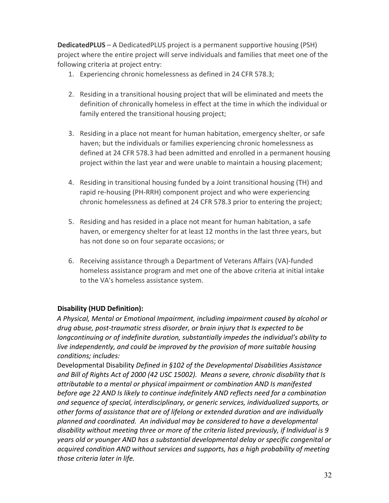**DedicatedPLUS** – A DedicatedPLUS project is a permanent supportive housing (PSH) project where the entire project will serve individuals and families that meet one of the following criteria at project entry:

- 1. Experiencing chronic homelessness as defined in 24 CFR 578.3;
- 2. Residing in a transitional housing project that will be eliminated and meets the definition of chronically homeless in effect at the time in which the individual or family entered the transitional housing project;
- 3. Residing in a place not meant for human habitation, emergency shelter, or safe haven; but the individuals or families experiencing chronic homelessness as defined at 24 CFR 578.3 had been admitted and enrolled in a permanent housing project within the last year and were unable to maintain a housing placement;
- 4. Residing in transitional housing funded by a Joint transitional housing (TH) and rapid re-housing (PH-RRH) component project and who were experiencing chronic homelessness as defined at 24 CFR 578.3 prior to entering the project;
- 5. Residing and has resided in a place not meant for human habitation, a safe haven, or emergency shelter for at least 12 months in the last three years, but has not done so on four separate occasions; or
- 6. Receiving assistance through a Department of Veterans Affairs (VA)-funded homeless assistance program and met one of the above criteria at initial intake to the VA's homeless assistance system.

# **Disability (HUD Definition):**

*A Physical, Mental or Emotional Impairment, including impairment caused by alcohol or drug abuse, post-traumatic stress disorder, or brain injury that Is expected to be longcontinuing or of indefinite duration, substantially impedes the individual's ability to live independently, and could be improved by the provision of more suitable housing conditions; includes:* 

Developmental Disability *Defined in §102 of the Developmental Disabilities Assistance and Bill of Rights Act of 2000 (42 USC 15002). Means a severe, chronic disability that Is attributable to a mental or physical impairment or combination AND Is manifested before age 22 AND Is likely to continue indefinitely AND reflects need for a combination and sequence of special, interdisciplinary, or generic services, individualized supports, or other forms of assistance that are of lifelong or extended duration and are individually planned and coordinated. An individual may be considered to have a developmental disability without meeting three or more of the criteria listed previously, if Individual is 9 years old or younger AND has a substantial developmental delay or specific congenital or acquired condition AND without services and supports, has a high probability of meeting those criteria later in life.*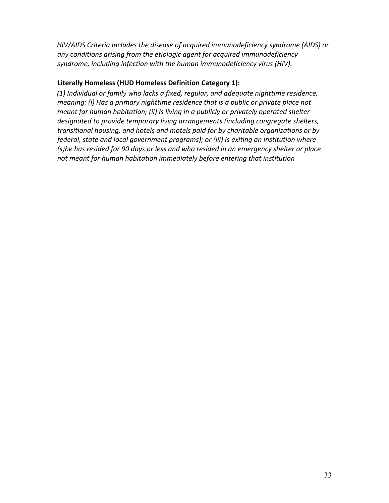*HIV/AIDS Criteria Includes the disease of acquired immunodeficiency syndrome (AIDS) or any conditions arising from the etiologic agent for acquired immunodeficiency syndrome, including infection with the human immunodeficiency virus (HIV).* 

# **Literally Homeless (HUD Homeless Definition Category 1):**

*(1) Individual or family who lacks a fixed, regular, and adequate nighttime residence, meaning: (i) Has a primary nighttime residence that is a public or private place not meant for human habitation; (ii) Is living in a publicly or privately operated shelter designated to provide temporary living arrangements (including congregate shelters, transitional housing, and hotels and motels paid for by charitable organizations or by federal, state and local government programs); or (iii) Is exiting an institution where (s)he has resided for 90 days or less and who resided in an emergency shelter or place not meant for human habitation immediately before entering that institution*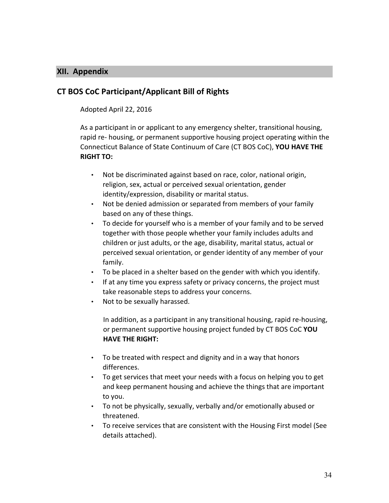### <span id="page-33-0"></span>**XII. Appendix**

# **CT BOS CoC Participant/Applicant Bill of Rights**

#### Adopted April 22, 2016

As a participant in or applicant to any emergency shelter, transitional housing, rapid re- housing, or permanent supportive housing project operating within the Connecticut Balance of State Continuum of Care (CT BOS CoC), **YOU HAVE THE RIGHT TO:** 

- Not be discriminated against based on race, color, national origin, religion, sex, actual or perceived sexual orientation, gender identity/expression, disability or marital status.
- Not be denied admission or separated from members of your family based on any of these things.
- To decide for yourself who is a member of your family and to be served together with those people whether your family includes adults and children or just adults, or the age, disability, marital status, actual or perceived sexual orientation, or gender identity of any member of your family.
- To be placed in a shelter based on the gender with which you identify.
- If at any time you express safety or privacy concerns, the project must take reasonable steps to address your concerns.
- Not to be sexually harassed.

In addition, as a participant in any transitional housing, rapid re-housing, or permanent supportive housing project funded by CT BOS CoC **YOU HAVE THE RIGHT:** 

- To be treated with respect and dignity and in a way that honors differences.
- To get services that meet your needs with a focus on helping you to get and keep permanent housing and achieve the things that are important to you.
- To not be physically, sexually, verbally and/or emotionally abused or threatened.
- To receive services that are consistent with the Housing First model (See details attached).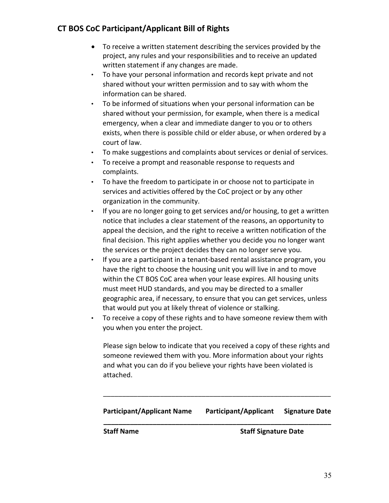- To receive a written statement describing the services provided by the project, any rules and your responsibilities and to receive an updated written statement if any changes are made.
- To have your personal information and records kept private and not shared without your written permission and to say with whom the information can be shared.
- To be informed of situations when your personal information can be shared without your permission, for example, when there is a medical emergency, when a clear and immediate danger to you or to others exists, when there is possible child or elder abuse, or when ordered by a court of law.
- To make suggestions and complaints about services or denial of services.
- To receive a prompt and reasonable response to requests and complaints.
- To have the freedom to participate in or choose not to participate in services and activities offered by the CoC project or by any other organization in the community.
- If you are no longer going to get services and/or housing, to get a written notice that includes a clear statement of the reasons, an opportunity to appeal the decision, and the right to receive a written notification of the final decision. This right applies whether you decide you no longer want the services or the project decides they can no longer serve you.
- If you are a participant in a tenant-based rental assistance program, you have the right to choose the housing unit you will live in and to move within the CT BOS CoC area when your lease expires. All housing units must meet HUD standards, and you may be directed to a smaller geographic area, if necessary, to ensure that you can get services, unless that would put you at likely threat of violence or stalking.
- To receive a copy of these rights and to have someone review them with you when you enter the project.

Please sign below to indicate that you received a copy of these rights and someone reviewed them with you. More information about your rights and what you can do if you believe your rights have been violated is attached.

# **Participant/Applicant Name Participant/Applicant Signature Date \_\_\_\_\_\_\_\_\_\_\_\_\_\_\_\_\_\_\_\_\_\_\_\_\_\_\_\_\_\_\_\_\_\_\_\_\_\_\_\_\_\_\_\_\_\_\_\_\_\_\_\_\_\_\_\_\_\_\_\_**

\_\_\_\_\_\_\_\_\_\_\_\_\_\_\_\_\_\_\_\_\_\_\_\_\_\_\_\_\_\_\_\_\_\_\_\_\_\_\_\_\_\_\_\_\_\_\_\_\_\_\_\_\_\_\_\_\_\_\_\_

**Staff Name** Staff Signature Date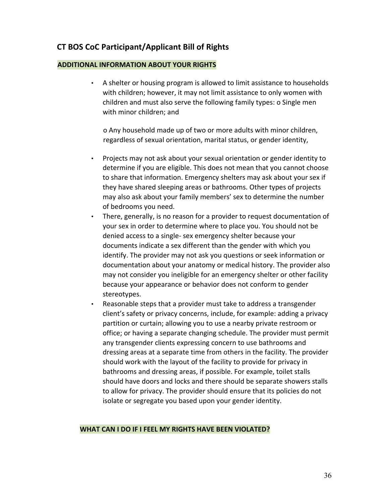#### **ADDITIONAL INFORMATION ABOUT YOUR RIGHTS**

• A shelter or housing program is allowed to limit assistance to households with children; however, it may not limit assistance to only women with children and must also serve the following family types: o Single men with minor children; and

o Any household made up of two or more adults with minor children, regardless of sexual orientation, marital status, or gender identity,

- Projects may not ask about your sexual orientation or gender identity to determine if you are eligible. This does not mean that you cannot choose to share that information. Emergency shelters may ask about your sex if they have shared sleeping areas or bathrooms. Other types of projects may also ask about your family members' sex to determine the number of bedrooms you need.
- There, generally, is no reason for a provider to request documentation of your sex in order to determine where to place you. You should not be denied access to a single- sex emergency shelter because your documents indicate a sex different than the gender with which you identify. The provider may not ask you questions or seek information or documentation about your anatomy or medical history. The provider also may not consider you ineligible for an emergency shelter or other facility because your appearance or behavior does not conform to gender stereotypes.
- Reasonable steps that a provider must take to address a transgender client's safety or privacy concerns, include, for example: adding a privacy partition or curtain; allowing you to use a nearby private restroom or office; or having a separate changing schedule. The provider must permit any transgender clients expressing concern to use bathrooms and dressing areas at a separate time from others in the facility. The provider should work with the layout of the facility to provide for privacy in bathrooms and dressing areas, if possible. For example, toilet stalls should have doors and locks and there should be separate showers stalls to allow for privacy. The provider should ensure that its policies do not isolate or segregate you based upon your gender identity.

#### **WHAT CAN I DO IF I FEEL MY RIGHTS HAVE BEEN VIOLATED?**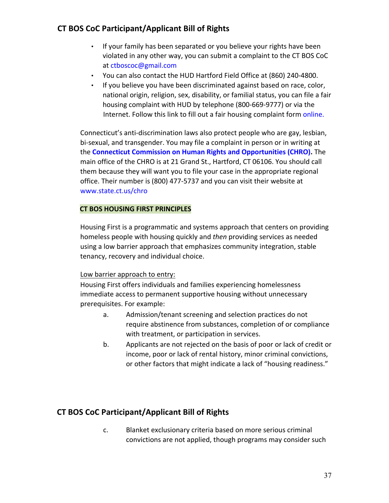- If your family has been separated or you believe your rights have been violated in any other way, you can submit a complaint to the CT BOS CoC at ctboscoc@gmail.com
- You can also contact the HUD Hartford Field Office at (860) 240-4800.
- If you believe you have been discriminated against based on race, color, national origin, religion, sex, disability, or familial status, you can file a fair housing complaint with HUD by telephone (800-669-9777) or via the Internet. Follow this link to fill out a fair housing complaint form online.

Connecticut's anti-discrimination laws also protect people who are gay, lesbian, bi-sexual, and transgender. You may file a complaint in person or in writing at the **Connecticut Commission on Human Rights and Opportunities (CHRO).** The main office of the CHRO is at 21 Grand St., Hartford, CT 06106. You should call them because they will want you to file your case in the appropriate regional office. Their number is (800) 477-5737 and you can visit their website at www.state.ct.us/chro

#### **CT BOS HOUSING FIRST PRINCIPLES**

Housing First is a programmatic and systems approach that centers on providing homeless people with housing quickly and *then* providing services as needed using a low barrier approach that emphasizes community integration, stable tenancy, recovery and individual choice.

#### Low barrier approach to entry:

Housing First offers individuals and families experiencing homelessness immediate access to permanent supportive housing without unnecessary prerequisites. For example:

- a. Admission/tenant screening and selection practices do not require abstinence from substances, completion of or compliance with treatment, or participation in services.
- b. Applicants are not rejected on the basis of poor or lack of credit or income, poor or lack of rental history, minor criminal convictions, or other factors that might indicate a lack of "housing readiness."

# **CT BOS CoC Participant/Applicant Bill of Rights**

c. Blanket exclusionary criteria based on more serious criminal convictions are not applied, though programs may consider such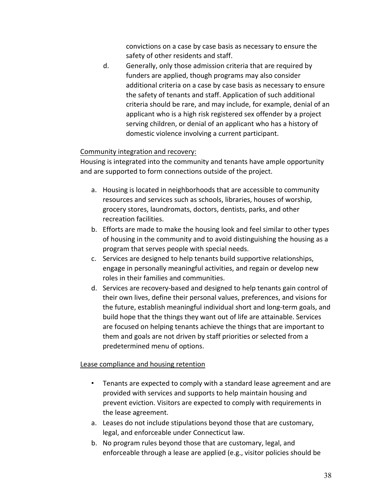convictions on a case by case basis as necessary to ensure the safety of other residents and staff.

d. Generally, only those admission criteria that are required by funders are applied, though programs may also consider additional criteria on a case by case basis as necessary to ensure the safety of tenants and staff. Application of such additional criteria should be rare, and may include, for example, denial of an applicant who is a high risk registered sex offender by a project serving children, or denial of an applicant who has a history of domestic violence involving a current participant.

# Community integration and recovery:

Housing is integrated into the community and tenants have ample opportunity and are supported to form connections outside of the project.

- a. Housing is located in neighborhoods that are accessible to community resources and services such as schools, libraries, houses of worship, grocery stores, laundromats, doctors, dentists, parks, and other recreation facilities.
- b. Efforts are made to make the housing look and feel similar to other types of housing in the community and to avoid distinguishing the housing as a program that serves people with special needs.
- c. Services are designed to help tenants build supportive relationships, engage in personally meaningful activities, and regain or develop new roles in their families and communities.
- d. Services are recovery-based and designed to help tenants gain control of their own lives, define their personal values, preferences, and visions for the future, establish meaningful individual short and long-term goals, and build hope that the things they want out of life are attainable. Services are focused on helping tenants achieve the things that are important to them and goals are not driven by staff priorities or selected from a predetermined menu of options.

#### Lease compliance and housing retention

- Tenants are expected to comply with a standard lease agreement and are provided with services and supports to help maintain housing and prevent eviction. Visitors are expected to comply with requirements in the lease agreement.
- a. Leases do not include stipulations beyond those that are customary, legal, and enforceable under Connecticut law.
- b. No program rules beyond those that are customary, legal, and enforceable through a lease are applied (e.g., visitor policies should be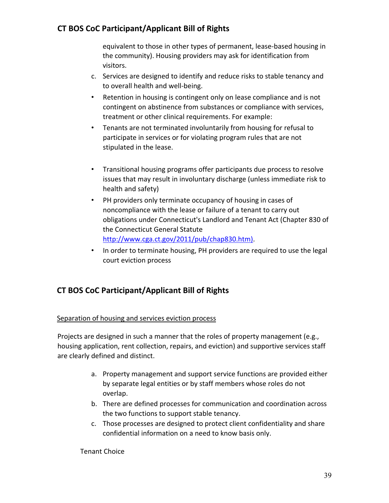equivalent to those in other types of permanent, lease-based housing in the community). Housing providers may ask for identification from visitors.

- c. Services are designed to identify and reduce risks to stable tenancy and to overall health and well-being.
- Retention in housing is contingent only on lease compliance and is not contingent on abstinence from substances or compliance with services, treatment or other clinical requirements. For example:
- Tenants are not terminated involuntarily from housing for refusal to participate in services or for violating program rules that are not stipulated in the lease.
- Transitional housing programs offer participants due process to resolve issues that may result in involuntary discharge (unless immediate risk to health and safety)
- PH providers only terminate occupancy of housing in cases of noncompliance with the lease or failure of a tenant to carry out obligations under Connecticut's Landlord and Tenant Act (Chapter 830 of the Connecticut General Statute http://www.cga.ct.gov/2011/pub/chap830.htm).
- In order to terminate housing, PH providers are required to use the legal court eviction process

# **CT BOS CoC Participant/Applicant Bill of Rights**

#### Separation of housing and services eviction process

Projects are designed in such a manner that the roles of property management (e.g., housing application, rent collection, repairs, and eviction) and supportive services staff are clearly defined and distinct.

- a. Property management and support service functions are provided either by separate legal entities or by staff members whose roles do not overlap.
- b. There are defined processes for communication and coordination across the two functions to support stable tenancy.
- c. Those processes are designed to protect client confidentiality and share confidential information on a need to know basis only.

Tenant Choice